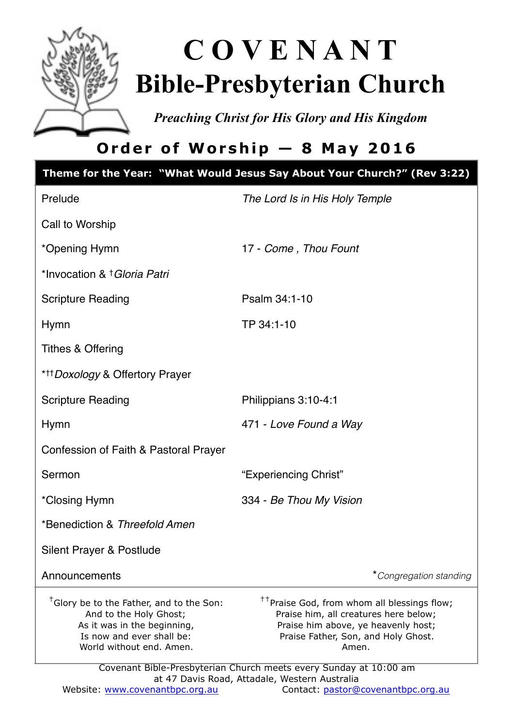

# **C O V E N A N T Bible-Presbyterian Church**

*Preaching Christ for His Glory and His Kingdom* 

## **Order of Worship — 8 May 2016**

|                                                                                                                                                                        | Theme for the Year: "What Would Jesus Say About Your Church?" (Rev 3:22)                                                                                                                                                                                     |  |  |
|------------------------------------------------------------------------------------------------------------------------------------------------------------------------|--------------------------------------------------------------------------------------------------------------------------------------------------------------------------------------------------------------------------------------------------------------|--|--|
| Prelude                                                                                                                                                                | The Lord Is in His Holy Temple                                                                                                                                                                                                                               |  |  |
| Call to Worship                                                                                                                                                        |                                                                                                                                                                                                                                                              |  |  |
| *Opening Hymn                                                                                                                                                          | 17 - Come, Thou Fount                                                                                                                                                                                                                                        |  |  |
| *Invocation & † Gloria Patri                                                                                                                                           |                                                                                                                                                                                                                                                              |  |  |
| <b>Scripture Reading</b>                                                                                                                                               | Psalm 34:1-10                                                                                                                                                                                                                                                |  |  |
| Hymn                                                                                                                                                                   | TP 34:1-10                                                                                                                                                                                                                                                   |  |  |
| Tithes & Offering                                                                                                                                                      |                                                                                                                                                                                                                                                              |  |  |
| * <sup>++</sup> Doxology & Offertory Prayer                                                                                                                            |                                                                                                                                                                                                                                                              |  |  |
| <b>Scripture Reading</b>                                                                                                                                               | Philippians 3:10-4:1                                                                                                                                                                                                                                         |  |  |
| <b>Hymn</b>                                                                                                                                                            | 471 - Love Found a Way                                                                                                                                                                                                                                       |  |  |
| Confession of Faith & Pastoral Prayer                                                                                                                                  |                                                                                                                                                                                                                                                              |  |  |
| Sermon                                                                                                                                                                 | "Experiencing Christ"                                                                                                                                                                                                                                        |  |  |
| *Closing Hymn                                                                                                                                                          | 334 - Be Thou My Vision                                                                                                                                                                                                                                      |  |  |
| *Benediction & Threefold Amen                                                                                                                                          |                                                                                                                                                                                                                                                              |  |  |
| Silent Prayer & Postlude                                                                                                                                               |                                                                                                                                                                                                                                                              |  |  |
| Announcements                                                                                                                                                          | *Congregation standing                                                                                                                                                                                                                                       |  |  |
| <sup>†</sup> Glory be to the Father, and to the Son:<br>And to the Holy Ghost;<br>As it was in the beginning,<br>Is now and ever shall be:<br>World without end. Amen. | <sup>++</sup> Praise God, from whom all blessings flow;<br>Praise him, all creatures here below;<br>Praise him above, ye heavenly host;<br>Praise Father, Son, and Holy Ghost.<br>Amen.<br>Covenant Bible-Presbyterian Church meets every Sunday at 10:00 am |  |  |
| at 47 Davis Road, Attadale, Western Australia                                                                                                                          |                                                                                                                                                                                                                                                              |  |  |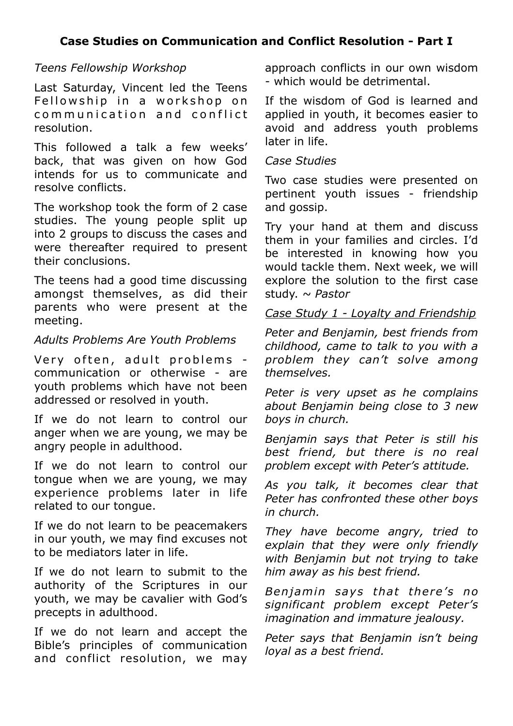#### *Teens Fellowship Workshop*

Last Saturday, Vincent led the Teens Fellowship in a workshop on communication and conflict resolution.

This followed a talk a few weeks' back, that was given on how God intends for us to communicate and resolve conflicts.

The workshop took the form of 2 case studies. The young people split up into 2 groups to discuss the cases and were thereafter required to present their conclusions.

The teens had a good time discussing amongst themselves, as did their parents who were present at the meeting.

#### *Adults Problems Are Youth Problems*

Very often, adult problems communication or otherwise - are youth problems which have not been addressed or resolved in youth.

If we do not learn to control our anger when we are young, we may be angry people in adulthood.

If we do not learn to control our tongue when we are young, we may experience problems later in life related to our tongue.

If we do not learn to be peacemakers in our youth, we may find excuses not to be mediators later in life.

If we do not learn to submit to the authority of the Scriptures in our youth, we may be cavalier with God's precepts in adulthood.

If we do not learn and accept the Bible's principles of communication and conflict resolution, we may approach conflicts in our own wisdom - which would be detrimental.

If the wisdom of God is learned and applied in youth, it becomes easier to avoid and address youth problems later in life.

#### *Case Studies*

Two case studies were presented on pertinent youth issues - friendship and gossip.

Try your hand at them and discuss them in your families and circles. I'd be interested in knowing how you would tackle them. Next week, we will explore the solution to the first case study. *~ Pastor* 

#### *Case Study 1 - Loyalty and Friendship*

*Peter and Benjamin, best friends from childhood, came to talk to you with a problem they can't solve among themselves.* 

*Peter is very upset as he complains about Benjamin being close to 3 new boys in church.* 

*Benjamin says that Peter is still his best friend, but there is no real problem except with Peter's attitude.* 

*As you talk, it becomes clear that Peter has confronted these other boys in church.* 

*They have become angry, tried to explain that they were only friendly with Benjamin but not trying to take him away as his best friend.* 

Benjamin says that there's no *significant problem except Peter's imagination and immature jealousy.* 

*Peter says that Benjamin isn't being loyal as a best friend.*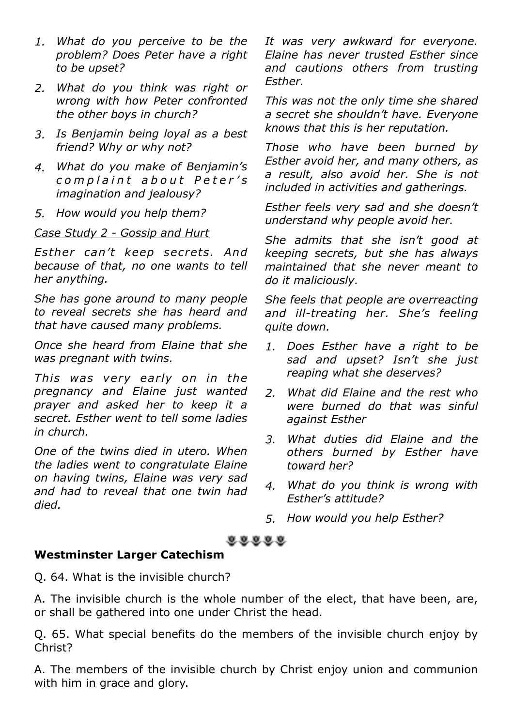- *1. What do you perceive to be the problem? Does Peter have a right to be upset?*
- *2. What do you think was right or wrong with how Peter confronted the other boys in church?*
- *3. Is Benjamin being loyal as a best friend? Why or why not?*
- *4. What do you make of Benjamin's c o m p l a i n t a b o u t P e t e r ' s imagination and jealousy?*
- *5. How would you help them?*

#### *Case Study 2 - Gossip and Hurt*

*Esther can't keep secrets. And because of that, no one wants to tell her anything.* 

*She has gone around to many people to reveal secrets she has heard and that have caused many problems.* 

*Once she heard from Elaine that she was pregnant with twins.* 

*This was very early on in the pregnancy and Elaine just wanted prayer and asked her to keep it a secret. Esther went to tell some ladies in church.* 

*One of the twins died in utero. When the ladies went to congratulate Elaine on having twins, Elaine was very sad and had to reveal that one twin had died.* 

*It was very awkward for everyone. Elaine has never trusted Esther since and cautions others from trusting Esther.* 

*This was not the only time she shared a secret she shouldn't have. Everyone knows that this is her reputation.* 

*Those who have been burned by Esther avoid her, and many others, as a result, also avoid her. She is not included in activities and gatherings.* 

*Esther feels very sad and she doesn't understand why people avoid her.* 

*She admits that she isn't good at keeping secrets, but she has always maintained that she never meant to do it maliciously.* 

*She feels that people are overreacting and ill-treating her. She's feeling quite down.* 

- *1. Does Esther have a right to be sad and upset? Isn't she just reaping what she deserves?*
- *2. What did Elaine and the rest who were burned do that was sinful against Esther*
- *3. What duties did Elaine and the others burned by Esther have toward her?*
- *4. What do you think is wrong with Esther's attitude?*
- *5. How would you help Esther?*

#### $0.0.0.0.0$

#### **Westminster Larger Catechism**

Q. 64. What is the invisible church?

A. The invisible church is the whole number of the elect, that have been, are, or shall be gathered into one under Christ the head.

Q. 65. What special benefits do the members of the invisible church enjoy by Christ?

A. The members of the invisible church by Christ enjoy union and communion with him in grace and glory.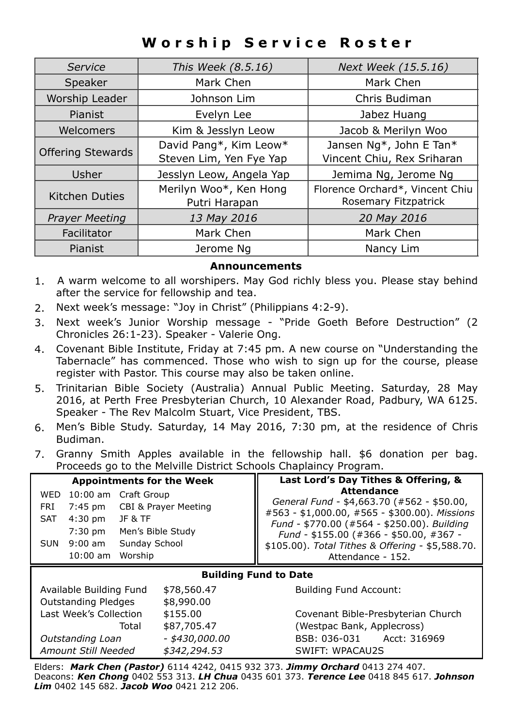### **Worship Service Roster**

| Service                  | This Week (8.5.16)       | Next Week (15.5.16)             |
|--------------------------|--------------------------|---------------------------------|
| Speaker                  | Mark Chen                | Mark Chen                       |
| Worship Leader           | Johnson Lim              | Chris Budiman                   |
| Pianist                  | Evelyn Lee               | Jabez Huang                     |
| Welcomers                | Kim & Jesslyn Leow       | Jacob & Merilyn Woo             |
|                          | David Pang*, Kim Leow*   | Jansen Ng*, John E Tan*         |
| <b>Offering Stewards</b> | Steven Lim, Yen Fye Yap  | Vincent Chiu, Rex Sriharan      |
| Usher                    | Jesslyn Leow, Angela Yap | Jemima Ng, Jerome Ng            |
| Kitchen Duties           | Merilyn Woo*, Ken Hong   | Florence Orchard*, Vincent Chiu |
|                          | Putri Harapan            | Rosemary Fitzpatrick            |
| <b>Prayer Meeting</b>    | 13 May 2016              | 20 May 2016                     |
| Facilitator              | Mark Chen                | Mark Chen                       |
| Pianist                  | Jerome Na                | Nancy Lim                       |

#### **Announcements**

- 1. A warm welcome to all worshipers. May God richly bless you. Please stay behind after the service for fellowship and tea.
- 2. Next week's message: "Joy in Christ" (Philippians 4:2-9).
- 3. Next week's Junior Worship message "Pride Goeth Before Destruction" (2 Chronicles 26:1-23). Speaker - Valerie Ong.
- 4. Covenant Bible Institute, Friday at 7:45 pm. A new course on "Understanding the Tabernacle" has commenced. Those who wish to sign up for the course, please register with Pastor. This course may also be taken online.
- 5. Trinitarian Bible Society (Australia) Annual Public Meeting. Saturday, 28 May 2016, at Perth Free Presbyterian Church, 10 Alexander Road, Padbury, WA 6125. Speaker - The Rev Malcolm Stuart, Vice President, TBS.
- 6. Men's Bible Study. Saturday, 14 May 2016, 7:30 pm, at the residence of Chris Budiman.
- 7. Granny Smith Apples available in the fellowship hall. \$6 donation per bag. Proceeds go to the Melville District Schools Chaplaincy Program.

| <b>Appointments for the Week</b>                                                                                                                                                 |                                           | Last Lord's Day Tithes & Offering, &                                                                                                                                                                                                                                                |
|----------------------------------------------------------------------------------------------------------------------------------------------------------------------------------|-------------------------------------------|-------------------------------------------------------------------------------------------------------------------------------------------------------------------------------------------------------------------------------------------------------------------------------------|
| 10:00 am Craft Group<br><b>WED</b><br>7:45 pm<br>FRI<br>$4:30$ pm<br><b>JF &amp; TF</b><br><b>SAT</b><br>$7:30$ pm<br>Sunday School<br>$9:00$ am<br>SUN<br>$10:00$ am<br>Worship | CBI & Prayer Meeting<br>Men's Bible Study | <b>Attendance</b><br>General Fund - \$4,663.70 (#562 - \$50.00,<br>#563 - \$1,000.00, #565 - \$300.00). Missions<br>Fund - \$770.00 (#564 - \$250.00). Building<br>Fund - \$155.00 (#366 - \$50.00, #367 -<br>\$105.00). Total Tithes & Offering - \$5,588.70.<br>Attendance - 152. |
|                                                                                                                                                                                  |                                           |                                                                                                                                                                                                                                                                                     |
|                                                                                                                                                                                  |                                           | <b>Building Fund to Date</b>                                                                                                                                                                                                                                                        |
| Available Building Fund                                                                                                                                                          | \$78,560.47                               | <b>Building Fund Account:</b>                                                                                                                                                                                                                                                       |
| <b>Outstanding Pledges</b>                                                                                                                                                       | \$8,990.00                                |                                                                                                                                                                                                                                                                                     |
| Last Week's Collection                                                                                                                                                           | \$155.00                                  | Covenant Bible-Presbyterian Church                                                                                                                                                                                                                                                  |
| Total                                                                                                                                                                            | \$87,705.47                               | (Westpac Bank, Applecross)                                                                                                                                                                                                                                                          |
| Outstanding Loan                                                                                                                                                                 | - \$430,000.00                            | Acct: 316969<br>BSB: 036-031                                                                                                                                                                                                                                                        |

Elders: *Mark Chen (Pastor)* 6114 4242, 0415 932 373. *Jimmy Orchard* 0413 274 407. Deacons: *Ken Chong* 0402 553 313. *LH Chua* 0435 601 373. *Terence Lee* 0418 845 617. *Johnson Lim* 0402 145 682. *Jacob Woo* 0421 212 206.